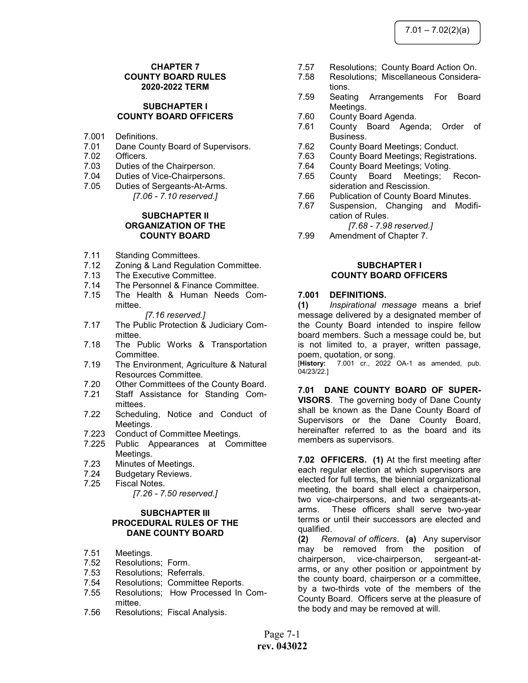## CHAPTER 7 COUNTY BOARD RULES 2020-2022 TERM

#### SUBCHAPTER I COUNTY BOARD OFFICERS

- 7.001 Definitions.
- 7.01 Dane County Board of Supervisors.<br>7.02 Officers.
- Officers.
- 7.03 Duties of the Chairperson.
- 7.04 Duties of Vice-Chairpersons.
- 7.05 Duties of Sergeants-At-Arms.
	- [7.06 7.10 reserved.]

#### SUBCHAPTER II ORGANIZATION OF THE COUNTY BOARD

- 7.11 Standing Committees.<br>7.12 Zoning & Land Regula
- Zoning & Land Regulation Committee.
- 7.13 The Executive Committee.
- 7.14 The Personnel & Finance Committee.
- 7.15 The Health & Human Needs Committee.

#### [7.16 reserved.]

- 7.17 The Public Protection & Judiciary Committee.
- 7.18 The Public Works & Transportation Committee.
- 7.19 The Environment, Agriculture & Natural Resources Committee.
- 7.20 Other Committees of the County Board.
- 7.21 Staff Assistance for Standing Committees.
- 7.22 Scheduling, Notice and Conduct of Meetings.
- 7.223 Conduct of Committee Meetings.
- 7.225 Public Appearances at Committee Meetings.
- 7.23 Minutes of Meetings.
- 7.24 Budgetary Reviews.
- 7.25 Fiscal Notes.

[7.26 - 7.50 reserved.]

## SUBCHAPTER III PROCEDURAL RULES OF THE DANE COUNTY BOARD

- 7.51 Meetings.
- 7.52 Resolutions; Form.
- 7.53 Resolutions; Referrals.
- 7.54 Resolutions; Committee Reports. 7.55 Resolutions; How Processed In Committee.
- 7.56 Resolutions; Fiscal Analysis.
- 7.57 Resolutions; County Board Action On.
- 7.58 Resolutions; Miscellaneous Considerations.
- 7.59 Seating Arrangements For Board Meetings.
- 7.60 County Board Agenda.
- 7.61 County Board Agenda; Order of Business.
- 7.62 County Board Meetings; Conduct.
- 7.63 County Board Meetings; Registrations.
- 7.64 County Board Meetings; Voting.
- 7.65 County Board Meetings; Reconsideration and Rescission.
- 7.66 Publication of County Board Minutes.
- 7.67 Suspension, Changing and Modification of Rules.

[7.68 - 7.98 reserved.]

7.99 Amendment of Chapter 7.

#### SUBCHAPTER I COUNTY BOARD OFFICERS

#### 7.001 DEFINITIONS.

(1) Inspirational message means a brief message delivered by a designated member of the County Board intended to inspire fellow board members. Such a message could be, but is not limited to, a prayer, written passage, poem, quotation, or song.

[History: 7.001 cr., 2022 OA-1 as amended, pub. 04/23/22.]

7.01 DANE COUNTY BOARD OF SUPER-VISORS. The governing body of Dane County shall be known as the Dane County Board of Supervisors or the Dane County Board, hereinafter referred to as the board and its members as supervisors.

7.02 OFFICERS. (1) At the first meeting after each regular election at which supervisors are elected for full terms, the biennial organizational meeting, the board shall elect a chairperson, two vice-chairpersons, and two sergeants-atarms. These officers shall serve two-year terms or until their successors are elected and qualified.

(2) Removal of officers. (a) Any supervisor may be removed from the position of chairperson, vice-chairperson, sergeant-atarms, or any other position or appointment by the county board, chairperson or a committee, by a two-thirds vote of the members of the County Board. Officers serve at the pleasure of the body and may be removed at will.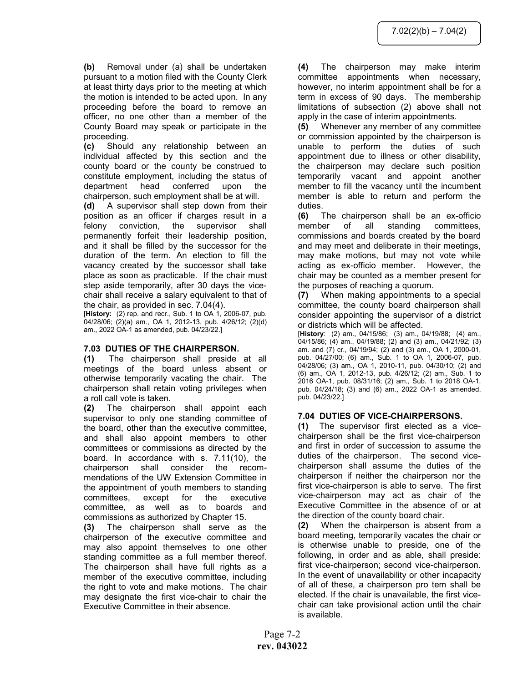(b) Removal under (a) shall be undertaken pursuant to a motion filed with the County Clerk at least thirty days prior to the meeting at which the motion is intended to be acted upon. In any proceeding before the board to remove an officer, no one other than a member of the County Board may speak or participate in the proceeding.

(c) Should any relationship between an individual affected by this section and the county board or the county be construed to constitute employment, including the status of department head conferred upon the chairperson, such employment shall be at will.

(d) A supervisor shall step down from their position as an officer if charges result in a felony conviction, the supervisor shall permanently forfeit their leadership position, and it shall be filled by the successor for the duration of the term. An election to fill the vacancy created by the successor shall take place as soon as practicable. If the chair must step aside temporarily, after 30 days the vicechair shall receive a salary equivalent to that of the chair, as provided in sec. 7.04(4).

[History: (2) rep. and recr., Sub. 1 to OA 1, 2006-07, pub. 04/28/06; (2)(a) am., OA 1, 2012-13, pub. 4/26/12; (2)(d) am., 2022 OA-1 as amended, pub. 04/23/22.]

## 7.03 DUTIES OF THE CHAIRPERSON.

(1) The chairperson shall preside at all meetings of the board unless absent or otherwise temporarily vacating the chair. The chairperson shall retain voting privileges when a roll call vote is taken.

(2) The chairperson shall appoint each supervisor to only one standing committee of the board, other than the executive committee, and shall also appoint members to other committees or commissions as directed by the board. In accordance with s. 7.11(10), the chairperson shall consider the recommendations of the UW Extension Committee in the appointment of youth members to standing committees, except for the executive committee, as well as to boards and commissions as authorized by Chapter 15.

(3) The chairperson shall serve as the chairperson of the executive committee and may also appoint themselves to one other standing committee as a full member thereof. The chairperson shall have full rights as a member of the executive committee, including the right to vote and make motions. The chair may designate the first vice-chair to chair the Executive Committee in their absence.

(4) The chairperson may make interim committee appointments when necessary, however, no interim appointment shall be for a term in excess of 90 days. The membership limitations of subsection (2) above shall not apply in the case of interim appointments.

(5) Whenever any member of any committee or commission appointed by the chairperson is unable to perform the duties of such appointment due to illness or other disability, the chairperson may declare such position temporarily vacant and appoint another member to fill the vacancy until the incumbent member is able to return and perform the duties.

(6) The chairperson shall be an ex-officio member of all standing committees, commissions and boards created by the board and may meet and deliberate in their meetings, may make motions, but may not vote while acting as ex-officio member. However, the chair may be counted as a member present for the purposes of reaching a quorum.

(7) When making appointments to a special committee, the county board chairperson shall consider appointing the supervisor of a district or districts which will be affected.

[History: (2) am., 04/15/86; (3) am., 04/19/88; (4) am., 04/15/86; (4) am., 04/19/88; (2) and (3) am., 04/21/92; (3) am. and (7) cr., 04/19/94; (2) and (3) am., OA 1, 2000-01, pub. 04/27/00; (6) am., Sub. 1 to OA 1, 2006-07, pub. 04/28/06; (3) am., OA 1, 2010-11, pub. 04/30/10; (2) and (6) am., OA 1, 2012-13, pub. 4/26/12; (2) am., Sub. 1 to 2016 OA-1, pub. 08/31/16; (2) am., Sub. 1 to 2018 OA-1, pub. 04/24/18; (3) and (6) am., 2022 OA-1 as amended, pub. 04/23/22.]

## 7.04 DUTIES OF VICE-CHAIRPERSONS.

(1) The supervisor first elected as a vicechairperson shall be the first vice-chairperson and first in order of succession to assume the duties of the chairperson. The second vicechairperson shall assume the duties of the chairperson if neither the chairperson nor the first vice-chairperson is able to serve. The first vice-chairperson may act as chair of the Executive Committee in the absence of or at the direction of the county board chair.

(2) When the chairperson is absent from a board meeting, temporarily vacates the chair or is otherwise unable to preside, one of the following, in order and as able, shall preside: first vice-chairperson; second vice-chairperson. In the event of unavailability or other incapacity of all of these, a chairperson pro tem shall be elected. If the chair is unavailable, the first vicechair can take provisional action until the chair is available.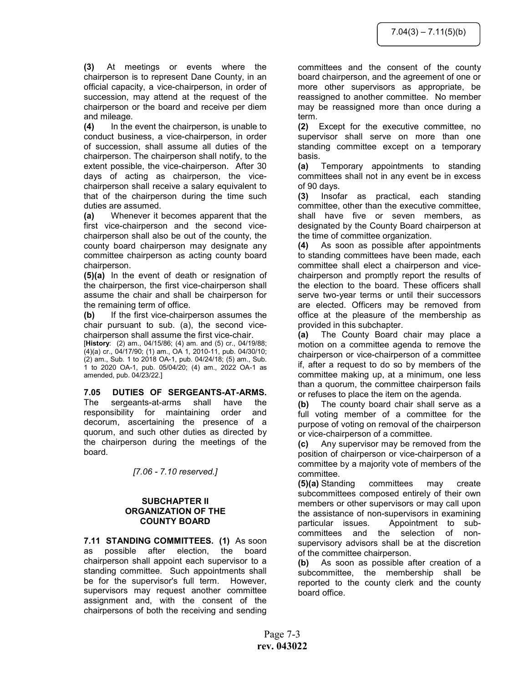(3) At meetings or events where the chairperson is to represent Dane County, in an official capacity, a vice-chairperson, in order of succession, may attend at the request of the chairperson or the board and receive per diem and mileage.

(4) In the event the chairperson, is unable to conduct business, a vice-chairperson, in order of succession, shall assume all duties of the chairperson. The chairperson shall notify, to the extent possible, the vice-chairperson. After 30 days of acting as chairperson, the vicechairperson shall receive a salary equivalent to that of the chairperson during the time such duties are assumed.

(a) Whenever it becomes apparent that the first vice-chairperson and the second vicechairperson shall also be out of the county, the county board chairperson may designate any committee chairperson as acting county board chairperson.

(5)(a) In the event of death or resignation of the chairperson, the first vice-chairperson shall assume the chair and shall be chairperson for the remaining term of office.

(b) If the first vice-chairperson assumes the chair pursuant to sub. (a), the second vicechairperson shall assume the first vice-chair.

[History: (2) am., 04/15/86; (4) am. and (5) cr., 04/19/88; (4)(a) cr., 04/17/90; (1) am., OA 1, 2010-11, pub. 04/30/10; (2) am., Sub. 1 to 2018 OA-1, pub. 04/24/18; (5) am., Sub. 1 to 2020 OA-1, pub. 05/04/20; (4) am., 2022 OA-1 as amended, pub. 04/23/22.]

## 7.05 DUTIES OF SERGEANTS-AT-ARMS.

The sergeants-at-arms shall have the responsibility for maintaining order and decorum, ascertaining the presence of a quorum, and such other duties as directed by the chairperson during the meetings of the board.

[7.06 - 7.10 reserved.]

## SUBCHAPTER II ORGANIZATION OF THE COUNTY BOARD

7.11 STANDING COMMITTEES. (1) As soon as possible after election, the board chairperson shall appoint each supervisor to a standing committee. Such appointments shall be for the supervisor's full term. However, supervisors may request another committee assignment and, with the consent of the chairpersons of both the receiving and sending

committees and the consent of the county board chairperson, and the agreement of one or more other supervisors as appropriate, be reassigned to another committee. No member may be reassigned more than once during a term.

(2) Except for the executive committee, no supervisor shall serve on more than one standing committee except on a temporary basis.

(a) Temporary appointments to standing committees shall not in any event be in excess of 90 days.

(3) Insofar as practical, each standing committee, other than the executive committee, shall have five or seven members, as designated by the County Board chairperson at the time of committee organization.

(4) As soon as possible after appointments to standing committees have been made, each committee shall elect a chairperson and vicechairperson and promptly report the results of the election to the board. These officers shall serve two-year terms or until their successors are elected. Officers may be removed from office at the pleasure of the membership as provided in this subchapter.

(a) The County Board chair may place a motion on a committee agenda to remove the chairperson or vice-chairperson of a committee if, after a request to do so by members of the committee making up, at a minimum, one less than a quorum, the committee chairperson fails or refuses to place the item on the agenda.

(b) The county board chair shall serve as a full voting member of a committee for the purpose of voting on removal of the chairperson or vice-chairperson of a committee.

(c) Any supervisor may be removed from the position of chairperson or vice-chairperson of a committee by a majority vote of members of the committee.

(5)(a) Standing committees may create subcommittees composed entirely of their own members or other supervisors or may call upon the assistance of non-supervisors in examining particular issues. Appointment to subcommittees and the selection of nonsupervisory advisors shall be at the discretion of the committee chairperson.

(b) As soon as possible after creation of a subcommittee, the membership shall be reported to the county clerk and the county board office.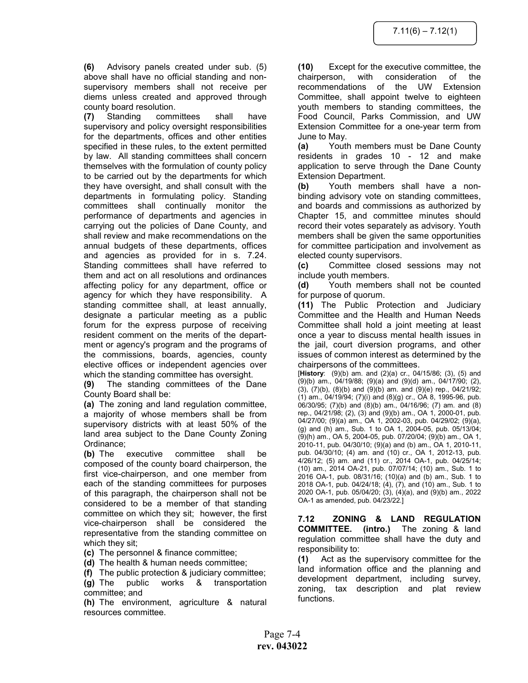(6) Advisory panels created under sub. (5) above shall have no official standing and nonsupervisory members shall not receive per diems unless created and approved through county board resolution.

(7) Standing committees shall have supervisory and policy oversight responsibilities for the departments, offices and other entities specified in these rules, to the extent permitted by law. All standing committees shall concern themselves with the formulation of county policy to be carried out by the departments for which they have oversight, and shall consult with the departments in formulating policy. Standing committees shall continually monitor the performance of departments and agencies in carrying out the policies of Dane County, and shall review and make recommendations on the annual budgets of these departments, offices and agencies as provided for in s. 7.24. Standing committees shall have referred to them and act on all resolutions and ordinances affecting policy for any department, office or agency for which they have responsibility. A standing committee shall, at least annually, designate a particular meeting as a public forum for the express purpose of receiving resident comment on the merits of the department or agency's program and the programs of the commissions, boards, agencies, county elective offices or independent agencies over which the standing committee has oversight.

(9) The standing committees of the Dane County Board shall be:

(a) The zoning and land regulation committee, a majority of whose members shall be from supervisory districts with at least 50% of the land area subject to the Dane County Zoning Ordinance;

(b) The executive committee shall be composed of the county board chairperson, the first vice-chairperson, and one member from each of the standing committees for purposes of this paragraph, the chairperson shall not be considered to be a member of that standing committee on which they sit; however, the first vice-chairperson shall be considered the representative from the standing committee on which they sit;

(c) The personnel & finance committee;

(d) The health & human needs committee;

(f) The public protection & judiciary committee; (g) The public works & transportation committee; and

(h) The environment, agriculture & natural resources committee.

(10) Except for the executive committee, the chairperson, with consideration of the recommendations of the UW Extension Committee, shall appoint twelve to eighteen youth members to standing committees, the Food Council, Parks Commission, and UW Extension Committee for a one-year term from June to May.

(a) Youth members must be Dane County residents in grades 10 - 12 and make application to serve through the Dane County Extension Department.

(b) Youth members shall have a nonbinding advisory vote on standing committees, and boards and commissions as authorized by Chapter 15, and committee minutes should record their votes separately as advisory. Youth members shall be given the same opportunities for committee participation and involvement as elected county supervisors.

(c) Committee closed sessions may not include youth members.

(d) Youth members shall not be counted for purpose of quorum.

(11) The Public Protection and Judiciary Committee and the Health and Human Needs Committee shall hold a joint meeting at least once a year to discuss mental health issues in the jail, court diversion programs, and other issues of common interest as determined by the chairpersons of the committees.

[History: (9)(b) am. and (2)(a) cr., 04/15/86; (3), (5) and (9)(b) am., 04/19/88; (9)(a) and (9)(d) am., 04/17/90; (2), (3), (7)(b), (8)(b) and (9)(b) am. and (9)(e) rep., 04/21/92; (1) am., 04/19/94; (7)(i) and (8)(g) cr., OA 8, 1995-96, pub. 06/30/95; (7)(b) and (8)(b) am., 04/16/96; (7) am. and (8) rep., 04/21/98; (2), (3) and (9)(b) am., OA 1, 2000-01, pub. 04/27/00; (9)(a) am., OA 1, 2002-03, pub. 04/29/02; (9)(a), (g) and (h) am., Sub. 1 to OA 1, 2004-05, pub. 05/13/04; (9)(h) am., OA 5, 2004-05, pub. 07/20/04; (9)(b) am., OA 1, 2010-11, pub. 04/30/10; (9)(a) and (b) am., OA 1, 2010-11, pub. 04/30/10; (4) am. and (10) cr., OA 1, 2012-13, pub. 4/26/12; (5) am. and (11) cr., 2014 OA-1, pub. 04/25/14; (10) am., 2014 OA-21, pub. 07/07/14; (10) am., Sub. 1 to 2016 OA-1, pub. 08/31/16; (10)(a) and (b) am., Sub. 1 to 2018 OA-1, pub. 04/24/18; (4), (7), and (10) am., Sub. 1 to 2020 OA-1, pub. 05/04/20; (3), (4)(a), and (9)(b) am., 2022 OA-1 as amended, pub. 04/23/22.]

7.12 ZONING & LAND REGULATION COMMITTEE. (intro.) The zoning & land regulation committee shall have the duty and responsibility to:

(1) Act as the supervisory committee for the land information office and the planning and development department, including survey, zoning, tax description and plat review functions.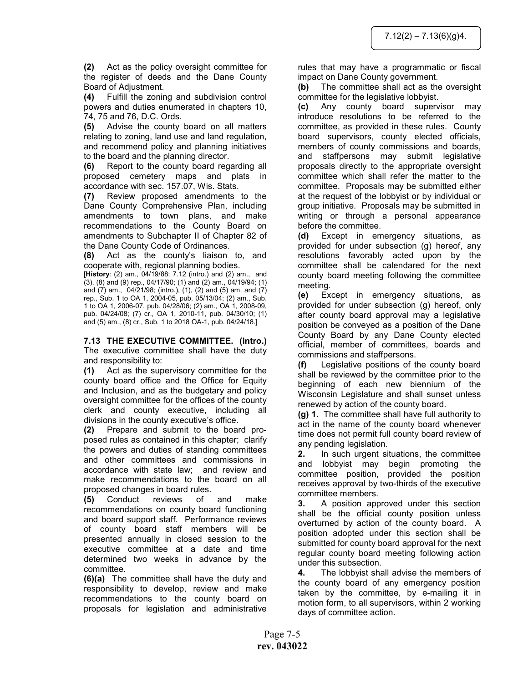(2) Act as the policy oversight committee for the register of deeds and the Dane County Board of Adjustment.

(4) Fulfill the zoning and subdivision control powers and duties enumerated in chapters 10, 74, 75 and 76, D.C. Ords.

(5) Advise the county board on all matters relating to zoning, land use and land regulation, and recommend policy and planning initiatives to the board and the planning director.

(6) Report to the county board regarding all proposed cemetery maps and plats in accordance with sec. 157.07, Wis. Stats.

(7) Review proposed amendments to the Dane County Comprehensive Plan, including amendments to town plans, and make recommendations to the County Board on amendments to Subchapter II of Chapter 82 of the Dane County Code of Ordinances.

(8) Act as the county's liaison to, and cooperate with, regional planning bodies.

[History: (2) am., 04/19/88; 7.12 (intro.) and (2) am., and (3), (8) and (9) rep., 04/17/90; (1) and (2) am., 04/19/94; (1) and  $(7)$  am.,  $04/21/98$ ; (intro.),  $(1)$ ,  $(2)$  and  $(5)$  am. and  $(7)$ rep., Sub. 1 to OA 1, 2004-05, pub. 05/13/04; (2) am., Sub. 1 to OA 1, 2006-07, pub. 04/28/06; (2) am., OA 1, 2008-09, pub. 04/24/08; (7) cr., OA 1, 2010-11, pub. 04/30/10; (1) and (5) am., (8) cr., Sub. 1 to 2018 OA-1, pub. 04/24/18.]

7.13 THE EXECUTIVE COMMITTEE. (intro.) The executive committee shall have the duty and responsibility to:

(1) Act as the supervisory committee for the county board office and the Office for Equity and Inclusion, and as the budgetary and policy oversight committee for the offices of the county clerk and county executive, including all divisions in the county executive's office.

(2) Prepare and submit to the board proposed rules as contained in this chapter; clarify the powers and duties of standing committees and other committees and commissions in accordance with state law; and review and make recommendations to the board on all proposed changes in board rules.

(5) Conduct reviews of and make recommendations on county board functioning and board support staff. Performance reviews of county board staff members will be presented annually in closed session to the executive committee at a date and time determined two weeks in advance by the committee.

(6)(a) The committee shall have the duty and responsibility to develop, review and make recommendations to the county board on proposals for legislation and administrative

rules that may have a programmatic or fiscal impact on Dane County government.

(b) The committee shall act as the oversight committee for the legislative lobbyist.

(c) Any county board supervisor may introduce resolutions to be referred to the committee, as provided in these rules. County board supervisors, county elected officials, members of county commissions and boards, and staffpersons may submit legislative proposals directly to the appropriate oversight committee which shall refer the matter to the committee. Proposals may be submitted either at the request of the lobbyist or by individual or group initiative. Proposals may be submitted in writing or through a personal appearance before the committee.

(d) Except in emergency situations, as provided for under subsection (g) hereof, any resolutions favorably acted upon by the committee shall be calendared for the next county board meeting following the committee meeting.

(e) Except in emergency situations, as provided for under subsection (g) hereof, only after county board approval may a legislative position be conveyed as a position of the Dane County Board by any Dane County elected official, member of committees, boards and commissions and staffpersons.

(f) Legislative positions of the county board shall be reviewed by the committee prior to the beginning of each new biennium of the Wisconsin Legislature and shall sunset unless renewed by action of the county board.

(g) 1. The committee shall have full authority to act in the name of the county board whenever time does not permit full county board review of any pending legislation.

2. In such urgent situations, the committee and lobbyist may begin promoting the committee position, provided the position receives approval by two-thirds of the executive committee members.

3. A position approved under this section shall be the official county position unless overturned by action of the county board. A position adopted under this section shall be submitted for county board approval for the next regular county board meeting following action under this subsection.

4. The lobbyist shall advise the members of the county board of any emergency position taken by the committee, by e-mailing it in motion form, to all supervisors, within 2 working days of committee action.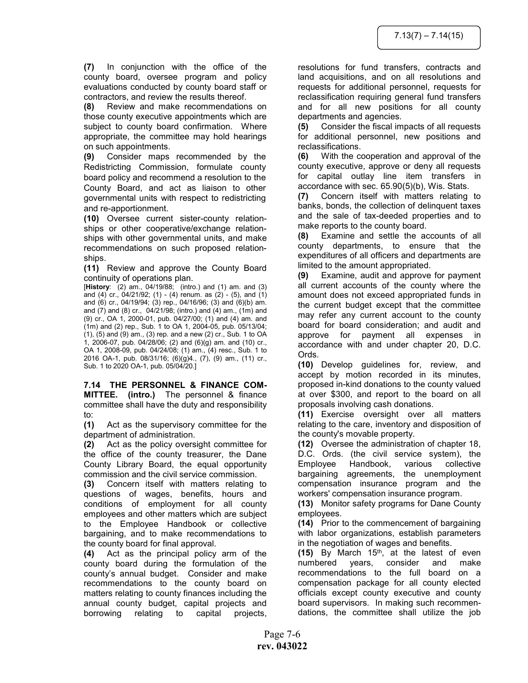(7) In conjunction with the office of the county board, oversee program and policy evaluations conducted by county board staff or contractors, and review the results thereof.

(8) Review and make recommendations on those county executive appointments which are subject to county board confirmation. Where appropriate, the committee may hold hearings on such appointments.

(9) Consider maps recommended by the Redistricting Commission, formulate county board policy and recommend a resolution to the County Board, and act as liaison to other governmental units with respect to redistricting and re-apportionment.

(10) Oversee current sister-county relationships or other cooperative/exchange relationships with other governmental units, and make recommendations on such proposed relationships.

(11) Review and approve the County Board continuity of operations plan.

[History: (2) am., 04/19/88; (intro.) and (1) am. and (3) and (4) cr.,  $04/21/92$ ; (1) - (4) renum. as (2) - (5), and (1) and (6) cr., 04/19/94; (3) rep., 04/16/96; (3) and (6)(b) am. and (7) and (8) cr., 04/21/98; (intro.) and (4) am., (1m) and (9) cr., OA 1, 2000-01, pub. 04/27/00; (1) and (4) am. and (1m) and (2) rep., Sub. 1 to OA 1, 2004-05, pub. 05/13/04; (1), (5) and (9) am., (3) rep. and a new (2) cr., Sub. 1 to OA  $1, 2006$ -07, pub. 04/28/06; (2) and  $(6)(g)$  am. and (10) cr., OA 1, 2008-09, pub. 04/24/08; (1) am., (4) resc., Sub. 1 to 2016 OA-1, pub. 08/31/16; (6)(g)4., (7), (9) am., (11) cr., Sub. 1 to 2020 OA-1, pub. 05/04/20.]

7.14 THE PERSONNEL & FINANCE COM-MITTEE. (intro.) The personnel & finance committee shall have the duty and responsibility to:

(1) Act as the supervisory committee for the department of administration.

(2) Act as the policy oversight committee for the office of the county treasurer, the Dane County Library Board, the equal opportunity commission and the civil service commission.

(3) Concern itself with matters relating to questions of wages, benefits, hours and conditions of employment for all county employees and other matters which are subject to the Employee Handbook or collective bargaining, and to make recommendations to the county board for final approval.

(4) Act as the principal policy arm of the county board during the formulation of the county's annual budget. Consider and make recommendations to the county board on matters relating to county finances including the annual county budget, capital projects and borrowing relating to capital projects, resolutions for fund transfers, contracts and land acquisitions, and on all resolutions and requests for additional personnel, requests for reclassification requiring general fund transfers and for all new positions for all county departments and agencies.

(5) Consider the fiscal impacts of all requests for additional personnel, new positions and reclassifications.

(6) With the cooperation and approval of the county executive, approve or deny all requests for capital outlay line item transfers in accordance with sec. 65.90(5)(b), Wis. Stats.

(7) Concern itself with matters relating to banks, bonds, the collection of delinquent taxes and the sale of tax-deeded properties and to make reports to the county board.

(8) Examine and settle the accounts of all county departments, to ensure that the expenditures of all officers and departments are limited to the amount appropriated.

(9) Examine, audit and approve for payment all current accounts of the county where the amount does not exceed appropriated funds in the current budget except that the committee may refer any current account to the county board for board consideration; and audit and approve for payment all expenses in accordance with and under chapter 20, D.C. Ords.

(10) Develop guidelines for, review, and accept by motion recorded in its minutes, proposed in-kind donations to the county valued at over \$300, and report to the board on all proposals involving cash donations.

(11) Exercise oversight over all matters relating to the care, inventory and disposition of the county's movable property.

(12) Oversee the administration of chapter 18, D.C. Ords. (the civil service system), the Employee Handbook, various collective bargaining agreements, the unemployment compensation insurance program and the workers' compensation insurance program.

(13) Monitor safety programs for Dane County employees.

(14) Prior to the commencement of bargaining with labor organizations, establish parameters in the negotiation of wages and benefits.

 $(15)$  By March 15<sup>th</sup>, at the latest of even numbered years, consider and make recommendations to the full board on a compensation package for all county elected officials except county executive and county board supervisors. In making such recommendations, the committee shall utilize the job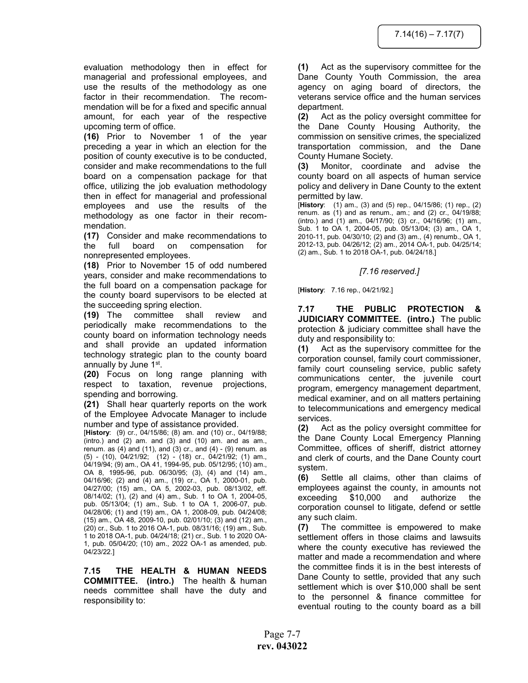evaluation methodology then in effect for managerial and professional employees, and use the results of the methodology as one factor in their recommendation. The recommendation will be for a fixed and specific annual amount, for each year of the respective upcoming term of office.

(16) Prior to November 1 of the year preceding a year in which an election for the position of county executive is to be conducted, consider and make recommendations to the full board on a compensation package for that office, utilizing the job evaluation methodology then in effect for managerial and professional employees and use the results of the methodology as one factor in their recommendation.

(17) Consider and make recommendations to the full board on compensation for nonrepresented employees.

(18) Prior to November 15 of odd numbered years, consider and make recommendations to the full board on a compensation package for the county board supervisors to be elected at the succeeding spring election.

(19) The committee shall review and periodically make recommendations to the county board on information technology needs and shall provide an updated information technology strategic plan to the county board annually by June 1st.

(20) Focus on long range planning with respect to taxation, revenue projections, spending and borrowing.

(21) Shall hear quarterly reports on the work of the Employee Advocate Manager to include number and type of assistance provided.

[History: (9) cr., 04/15/86; (8) am. and (10) cr., 04/19/88; (intro.) and (2) am. and (3) and (10) am. and as am., renum. as  $(4)$  and  $(11)$ , and  $(3)$  cr., and  $(4)$  -  $(9)$  renum. as (5) - (10), 04/21/92; (12) - (18) cr., 04/21/92; (1) am., 04/19/94; (9) am., OA 41, 1994-95, pub. 05/12/95; (10) am., OA 8, 1995-96, pub. 06/30/95; (3), (4) and (14) am., 04/16/96; (2) and (4) am., (19) cr., OA 1, 2000-01, pub. 04/27/00; (15) am., OA 5, 2002-03, pub. 08/13/02, eff. 08/14/02; (1), (2) and (4) am., Sub. 1 to OA 1, 2004-05, pub. 05/13/04; (1) am., Sub. 1 to OA 1, 2006-07, pub. 04/28/06; (1) and (19) am., OA 1, 2008-09, pub. 04/24/08; (15) am., OA 48, 2009-10, pub. 02/01/10; (3) and (12) am., (20) cr., Sub. 1 to 2016 OA-1, pub. 08/31/16; (19) am., Sub. 1 to 2018 OA-1, pub. 04/24/18; (21) cr., Sub. 1 to 2020 OA-1, pub. 05/04/20; (10) am., 2022 OA-1 as amended, pub. 04/23/22.]

7.15 THE HEALTH & HUMAN NEEDS COMMITTEE. (intro.) The health & human needs committee shall have the duty and responsibility to:

(1) Act as the supervisory committee for the Dane County Youth Commission, the area agency on aging board of directors, the veterans service office and the human services department.

(2) Act as the policy oversight committee for the Dane County Housing Authority, the commission on sensitive crimes, the specialized transportation commission, and the Dane County Humane Society.

(3) Monitor, coordinate and advise the county board on all aspects of human service policy and delivery in Dane County to the extent permitted by law.

[History: (1) am., (3) and (5) rep., 04/15/86; (1) rep., (2) renum. as (1) and as renum., am.; and (2) cr., 04/19/88; (intro.) and (1) am., 04/17/90; (3) cr., 04/16/96; (1) am., Sub. 1 to OA 1, 2004-05, pub. 05/13/04; (3) am., OA 1, 2010-11, pub. 04/30/10; (2) and (3) am., (4) renumb., OA 1, 2012-13, pub. 04/26/12; (2) am., 2014 OA-1, pub. 04/25/14; (2) am., Sub. 1 to 2018 OA-1, pub. 04/24/18.]

[7.16 reserved.]

[History: 7.16 rep., 04/21/92.]

7.17 THE PUBLIC PROTECTION & JUDICIARY COMMITTEE. (intro.) The public protection & judiciary committee shall have the duty and responsibility to:

(1) Act as the supervisory committee for the corporation counsel, family court commissioner, family court counseling service, public safety communications center, the juvenile court program, emergency management department, medical examiner, and on all matters pertaining to telecommunications and emergency medical services.

(2) Act as the policy oversight committee for the Dane County Local Emergency Planning Committee, offices of sheriff, district attorney and clerk of courts, and the Dane County court system.

(6) Settle all claims, other than claims of employees against the county, in amounts not exceeding \$10,000 and authorize the corporation counsel to litigate, defend or settle any such claim.

(7) The committee is empowered to make settlement offers in those claims and lawsuits where the county executive has reviewed the matter and made a recommendation and where the committee finds it is in the best interests of Dane County to settle, provided that any such settlement which is over \$10,000 shall be sent to the personnel & finance committee for eventual routing to the county board as a bill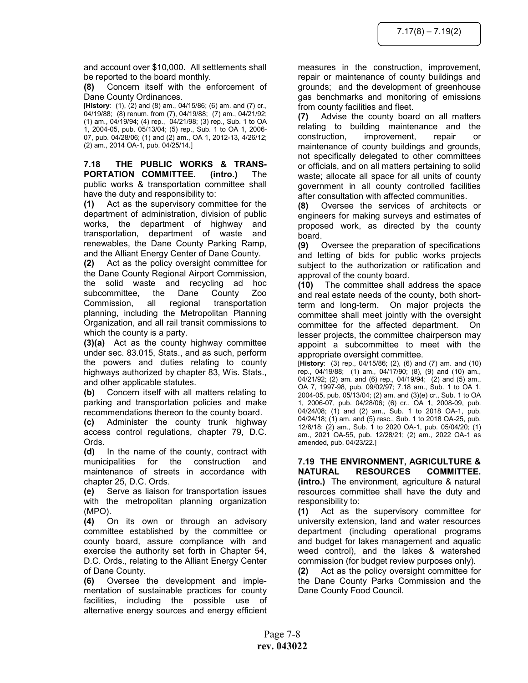and account over \$10,000. All settlements shall be reported to the board monthly.

(8) Concern itself with the enforcement of Dane County Ordinances.

[History: (1), (2) and (8) am., 04/15/86; (6) am. and (7) cr., 04/19/88; (8) renum. from (7), 04/19/88; (7) am., 04/21/92; (1) am., 04/19/94; (4) rep., 04/21/98; (3) rep., Sub. 1 to OA 1, 2004-05, pub. 05/13/04; (5) rep., Sub. 1 to OA 1, 2006- 07, pub. 04/28/06; (1) and (2) am., OA 1, 2012-13, 4/26/12; (2) am., 2014 OA-1, pub. 04/25/14.]

7.18 THE PUBLIC WORKS & TRANS-PORTATION COMMITTEE. (intro.) The public works & transportation committee shall have the duty and responsibility to:

(1) Act as the supervisory committee for the department of administration, division of public works, the department of highway and transportation, department of waste and renewables, the Dane County Parking Ramp, and the Alliant Energy Center of Dane County.

(2) Act as the policy oversight committee for the Dane County Regional Airport Commission, the solid waste and recycling ad hoc subcommittee, the Dane County Zoo Commission, all regional transportation planning, including the Metropolitan Planning Organization, and all rail transit commissions to which the county is a party.

(3)(a) Act as the county highway committee under sec. 83.015, Stats., and as such, perform the powers and duties relating to county highways authorized by chapter 83, Wis. Stats., and other applicable statutes.

(b) Concern itself with all matters relating to parking and transportation policies and make recommendations thereon to the county board.

(c) Administer the county trunk highway access control regulations, chapter 79, D.C. Ords.

(d) In the name of the county, contract with municipalities for the construction and maintenance of streets in accordance with chapter 25, D.C. Ords.

(e) Serve as liaison for transportation issues with the metropolitan planning organization (MPO).

(4) On its own or through an advisory committee established by the committee or county board, assure compliance with and exercise the authority set forth in Chapter 54, D.C. Ords., relating to the Alliant Energy Center of Dane County.

(6) Oversee the development and implementation of sustainable practices for county facilities, including the possible use of alternative energy sources and energy efficient measures in the construction, improvement, repair or maintenance of county buildings and grounds; and the development of greenhouse gas benchmarks and monitoring of emissions from county facilities and fleet.

(7) Advise the county board on all matters relating to building maintenance and the construction, improvement, repair or maintenance of county buildings and grounds, not specifically delegated to other committees or officials, and on all matters pertaining to solid waste; allocate all space for all units of county government in all county controlled facilities after consultation with affected communities.

(8) Oversee the services of architects or engineers for making surveys and estimates of proposed work, as directed by the county board.

(9) Oversee the preparation of specifications and letting of bids for public works projects subject to the authorization or ratification and approval of the county board.

(10) The committee shall address the space and real estate needs of the county, both shortterm and long-term. On major projects the committee shall meet jointly with the oversight committee for the affected department. On lesser projects, the committee chairperson may appoint a subcommittee to meet with the appropriate oversight committee.

[History: (3) rep., 04/15/86; (2), (6) and (7) am. and (10) rep., 04/19/88; (1) am., 04/17/90; (8), (9) and (10) am., 04/21/92; (2) am. and (6) rep., 04/19/94; (2) and (5) am., OA 7, 1997-98, pub. 09/02/97; 7.18 am., Sub. 1 to OA 1, 2004-05, pub. 05/13/04; (2) am. and (3)(e) cr., Sub. 1 to OA 1, 2006-07, pub. 04/28/06; (6) cr., OA 1, 2008-09, pub. 04/24/08; (1) and (2) am., Sub. 1 to 2018 OA-1, pub. 04/24/18; (1) am. and (5) resc., Sub. 1 to 2018 OA-25, pub. 12/6/18; (2) am., Sub. 1 to 2020 OA-1, pub. 05/04/20; (1) am., 2021 OA-55, pub. 12/28/21; (2) am., 2022 OA-1 as amended, pub. 04/23/22.]

7.19 THE ENVIRONMENT, AGRICULTURE & NATURAL RESOURCES COMMITTEE. (intro.) The environment, agriculture & natural resources committee shall have the duty and responsibility to:

(1) Act as the supervisory committee for university extension, land and water resources department (including operational programs and budget for lakes management and aquatic weed control), and the lakes & watershed commission (for budget review purposes only).

(2) Act as the policy oversight committee for the Dane County Parks Commission and the Dane County Food Council.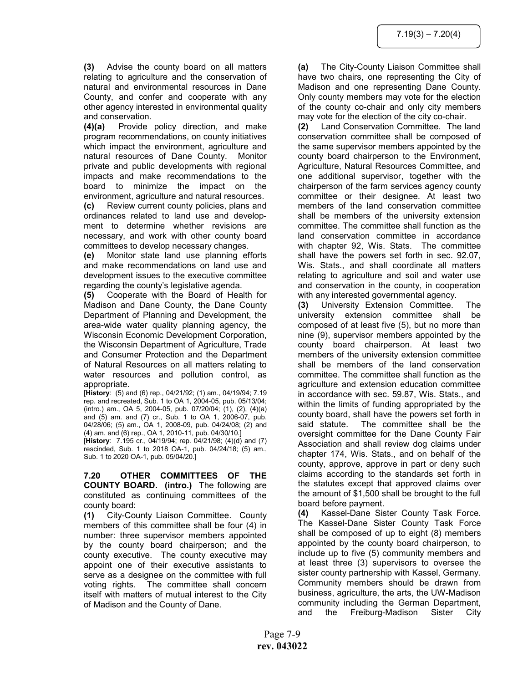(3) Advise the county board on all matters relating to agriculture and the conservation of natural and environmental resources in Dane County, and confer and cooperate with any other agency interested in environmental quality and conservation.

(4)(a) Provide policy direction, and make program recommendations, on county initiatives which impact the environment, agriculture and natural resources of Dane County. Monitor private and public developments with regional impacts and make recommendations to the board to minimize the impact on the environment, agriculture and natural resources. (c) Review current county policies, plans and ordinances related to land use and development to determine whether revisions are necessary, and work with other county board committees to develop necessary changes.

(e) Monitor state land use planning efforts and make recommendations on land use and development issues to the executive committee regarding the county's legislative agenda.

(5) Cooperate with the Board of Health for Madison and Dane County, the Dane County Department of Planning and Development, the area-wide water quality planning agency, the Wisconsin Economic Development Corporation, the Wisconsin Department of Agriculture, Trade and Consumer Protection and the Department of Natural Resources on all matters relating to water resources and pollution control, as appropriate.

[History: (5) and (6) rep., 04/21/92; (1) am., 04/19/94; 7.19 rep. and recreated, Sub. 1 to OA 1, 2004-05, pub. 05/13/04; (intro.) am., OA 5, 2004-05, pub. 07/20/04; (1), (2), (4)(a) and (5) am. and (7) cr., Sub. 1 to OA 1, 2006-07, pub. 04/28/06; (5) am., OA 1, 2008-09, pub. 04/24/08; (2) and (4) am. and (6) rep., OA 1, 2010-11, pub. 04/30/10.]

[History: 7.195 cr., 04/19/94; rep. 04/21/98; (4)(d) and (7) rescinded, Sub. 1 to 2018 OA-1, pub. 04/24/18; (5) am., Sub. 1 to 2020 OA-1, pub. 05/04/20.]

7.20 OTHER COMMITTEES OF THE COUNTY BOARD. (intro.) The following are constituted as continuing committees of the county board:

(1) City-County Liaison Committee. County members of this committee shall be four (4) in number: three supervisor members appointed by the county board chairperson; and the county executive. The county executive may appoint one of their executive assistants to serve as a designee on the committee with full voting rights. The committee shall concern itself with matters of mutual interest to the City of Madison and the County of Dane.

(a) The City-County Liaison Committee shall have two chairs, one representing the City of Madison and one representing Dane County. Only county members may vote for the election of the county co-chair and only city members may vote for the election of the city co-chair.

(2) Land Conservation Committee. The land conservation committee shall be composed of the same supervisor members appointed by the county board chairperson to the Environment, Agriculture, Natural Resources Committee, and one additional supervisor, together with the chairperson of the farm services agency county committee or their designee. At least two members of the land conservation committee shall be members of the university extension committee. The committee shall function as the land conservation committee in accordance with chapter 92, Wis. Stats. The committee shall have the powers set forth in sec. 92.07, Wis. Stats., and shall coordinate all matters relating to agriculture and soil and water use and conservation in the county, in cooperation with any interested governmental agency.

(3) University Extension Committee. The university extension committee shall be composed of at least five (5), but no more than nine (9), supervisor members appointed by the county board chairperson. At least two members of the university extension committee shall be members of the land conservation committee. The committee shall function as the agriculture and extension education committee in accordance with sec. 59.87, Wis. Stats., and within the limits of funding appropriated by the county board, shall have the powers set forth in said statute. The committee shall be the oversight committee for the Dane County Fair Association and shall review dog claims under chapter 174, Wis. Stats., and on behalf of the county, approve, approve in part or deny such claims according to the standards set forth in the statutes except that approved claims over the amount of \$1,500 shall be brought to the full board before payment.

(4) Kassel-Dane Sister County Task Force. The Kassel-Dane Sister County Task Force shall be composed of up to eight (8) members appointed by the county board chairperson, to include up to five (5) community members and at least three (3) supervisors to oversee the sister county partnership with Kassel, Germany. Community members should be drawn from business, agriculture, the arts, the UW-Madison community including the German Department, and the Freiburg-Madison Sister City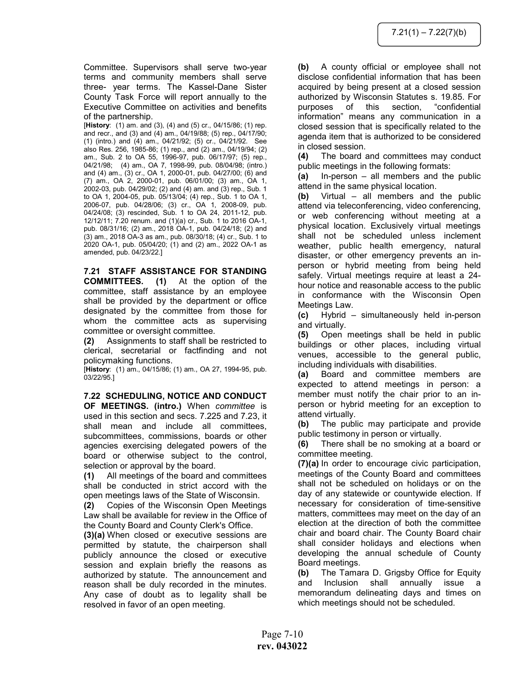Committee. Supervisors shall serve two-year terms and community members shall serve three- year terms. The Kassel-Dane Sister County Task Force will report annually to the Executive Committee on activities and benefits of the partnership.

[History: (1) am. and (3), (4) and (5) cr., 04/15/86; (1) rep. and recr., and (3) and (4) am., 04/19/88; (5) rep., 04/17/90; (1) (intro.) and (4) am., 04/21/92; (5) cr., 04/21/92. See also Res. 256, 1985-86; (1) rep., and (2) am., 04/19/94; (2) am., Sub. 2 to OA 55, 1996-97, pub. 06/17/97; (5) rep., 04/21/98; (4) am., OA 7, 1998-99, pub. 08/04/98; (intro.) and (4) am., (3) cr., OA 1, 2000-01, pub. 04/27/00; (6) and (7) am., OA 2, 2000-01, pub. 06/01/00; (3) am., OA 1, 2002-03, pub. 04/29/02; (2) and (4) am. and (3) rep., Sub. 1 to OA 1, 2004-05, pub. 05/13/04; (4) rep., Sub. 1 to OA 1, 2006-07, pub. 04/28/06; (3) cr., OA 1, 2008-09, pub. 04/24/08; (3) rescinded, Sub. 1 to OA 24, 2011-12, pub. 12/12/11; 7.20 renum. and (1)(a) cr., Sub. 1 to 2016 OA-1, pub. 08/31/16; (2) am., 2018 OA-1, pub. 04/24/18; (2) and (3) am., 2018 OA-3 as am., pub. 08/30/18; (4) cr., Sub. 1 to 2020 OA-1, pub. 05/04/20; (1) and (2) am., 2022 OA-1 as amended, pub. 04/23/22.]

7.21 STAFF ASSISTANCE FOR STANDING COMMITTEES. (1) At the option of the committee, staff assistance by an employee shall be provided by the department or office designated by the committee from those for whom the committee acts as supervising committee or oversight committee.

(2) Assignments to staff shall be restricted to clerical, secretarial or factfinding and not policymaking functions.

[History: (1) am., 04/15/86; (1) am., OA 27, 1994-95, pub. 03/22/95.]

7.22 SCHEDULING, NOTICE AND CONDUCT OF MEETINGS. (intro.) When committee is used in this section and secs. 7.225 and 7.23, it shall mean and include all committees, subcommittees, commissions, boards or other agencies exercising delegated powers of the board or otherwise subject to the control, selection or approval by the board.

(1) All meetings of the board and committees shall be conducted in strict accord with the open meetings laws of the State of Wisconsin.

(2) Copies of the Wisconsin Open Meetings Law shall be available for review in the Office of the County Board and County Clerk's Office.

(3)(a) When closed or executive sessions are permitted by statute, the chairperson shall publicly announce the closed or executive session and explain briefly the reasons as authorized by statute. The announcement and reason shall be duly recorded in the minutes. Any case of doubt as to legality shall be resolved in favor of an open meeting.

(b) A county official or employee shall not disclose confidential information that has been acquired by being present at a closed session authorized by Wisconsin Statutes s. 19.85. For purposes of this section, "confidential information" means any communication in a closed session that is specifically related to the agenda item that is authorized to be considered in closed session.

(4) The board and committees may conduct public meetings in the following formats:

(a) In-person – all members and the public attend in the same physical location.

(b) Virtual – all members and the public attend via teleconferencing, video conferencing, or web conferencing without meeting at a physical location. Exclusively virtual meetings shall not be scheduled unless inclement weather, public health emergency, natural disaster, or other emergency prevents an inperson or hybrid meeting from being held safely. Virtual meetings require at least a 24 hour notice and reasonable access to the public in conformance with the Wisconsin Open Meetings Law.

(c) Hybrid – simultaneously held in-person and virtually.

(5) Open meetings shall be held in public buildings or other places, including virtual venues, accessible to the general public, including individuals with disabilities.

(a) Board and committee members are expected to attend meetings in person: a member must notify the chair prior to an inperson or hybrid meeting for an exception to attend virtually.

(b) The public may participate and provide public testimony in person or virtually.

(6) There shall be no smoking at a board or committee meeting.

(7)(a) In order to encourage civic participation, meetings of the County Board and committees shall not be scheduled on holidays or on the day of any statewide or countywide election. If necessary for consideration of time-sensitive matters, committees may meet on the day of an election at the direction of both the committee chair and board chair. The County Board chair shall consider holidays and elections when developing the annual schedule of County Board meetings.

(b) The Tamara D. Grigsby Office for Equity and Inclusion shall annually issue a memorandum delineating days and times on which meetings should not be scheduled.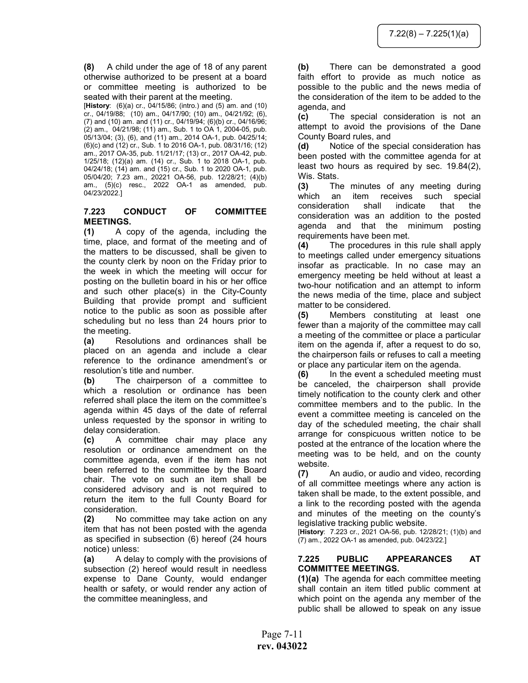(8) A child under the age of 18 of any parent otherwise authorized to be present at a board or committee meeting is authorized to be seated with their parent at the meeting.

[History: (6)(a) cr., 04/15/86; (intro.) and (5) am. and (10) cr., 04/19/88; (10) am., 04/17/90; (10) am., 04/21/92; (6), (7) and (10) am. and (11) cr., 04/19/94; (6)(b) cr., 04/16/96; (2) am., 04/21/98; (11) am., Sub. 1 to OA 1, 2004-05, pub. 05/13/04; (3), (6), and (11) am., 2014 OA-1, pub. 04/25/14; (6)(c) and (12) cr., Sub. 1 to 2016 OA-1, pub. 08/31/16; (12) am., 2017 OA-35, pub. 11/21/17; (13) cr., 2017 OA-42, pub. 1/25/18; (12)(a) am. (14) cr., Sub. 1 to 2018 OA-1, pub. 04/24/18; (14) am. and (15) cr., Sub. 1 to 2020 OA-1, pub. 05/04/20; 7.23 am., 20221 OA-56, pub. 12/28/21; (4)(b) am., (5)(c) resc., 2022 OA-1 as amended, pub. 04/23/2022.]

## 7.223 CONDUCT OF COMMITTEE MEETINGS.

(1) A copy of the agenda, including the time, place, and format of the meeting and of the matters to be discussed, shall be given to the county clerk by noon on the Friday prior to the week in which the meeting will occur for posting on the bulletin board in his or her office and such other place(s) in the City-County Building that provide prompt and sufficient notice to the public as soon as possible after scheduling but no less than 24 hours prior to the meeting.

(a) Resolutions and ordinances shall be placed on an agenda and include a clear reference to the ordinance amendment's or resolution's title and number.

(b) The chairperson of a committee to which a resolution or ordinance has been referred shall place the item on the committee's agenda within 45 days of the date of referral unless requested by the sponsor in writing to delay consideration.

(c) A committee chair may place any resolution or ordinance amendment on the committee agenda, even if the item has not been referred to the committee by the Board chair. The vote on such an item shall be considered advisory and is not required to return the item to the full County Board for consideration.

(2) No committee may take action on any item that has not been posted with the agenda as specified in subsection (6) hereof (24 hours notice) unless:

(a) A delay to comply with the provisions of subsection (2) hereof would result in needless expense to Dane County, would endanger health or safety, or would render any action of the committee meaningless, and

(b) There can be demonstrated a good faith effort to provide as much notice as possible to the public and the news media of the consideration of the item to be added to the agenda, and

(c) The special consideration is not an attempt to avoid the provisions of the Dane County Board rules, and

(d) Notice of the special consideration has been posted with the committee agenda for at least two hours as required by sec. 19.84(2), Wis. Stats.

(3) The minutes of any meeting during which an item receives such special consideration shall indicate that the consideration was an addition to the posted agenda and that the minimum posting requirements have been met.

(4) The procedures in this rule shall apply to meetings called under emergency situations insofar as practicable. In no case may an emergency meeting be held without at least a two-hour notification and an attempt to inform the news media of the time, place and subject matter to be considered.

(5) Members constituting at least one fewer than a majority of the committee may call a meeting of the committee or place a particular item on the agenda if, after a request to do so, the chairperson fails or refuses to call a meeting or place any particular item on the agenda.

(6) In the event a scheduled meeting must be canceled, the chairperson shall provide timely notification to the county clerk and other committee members and to the public. In the event a committee meeting is canceled on the day of the scheduled meeting, the chair shall arrange for conspicuous written notice to be posted at the entrance of the location where the meeting was to be held, and on the county website.

(7) An audio, or audio and video, recording of all committee meetings where any action is taken shall be made, to the extent possible, and a link to the recording posted with the agenda and minutes of the meeting on the county's legislative tracking public website.

[History: 7.223 cr., 2021 OA-56, pub. 12/28/21; (1)(b) and (7) am., 2022 OA-1 as amended, pub. 04/23/22.]

## 7.225 PUBLIC APPEARANCES AT COMMITTEE MEETINGS.

(1)(a) The agenda for each committee meeting shall contain an item titled public comment at which point on the agenda any member of the public shall be allowed to speak on any issue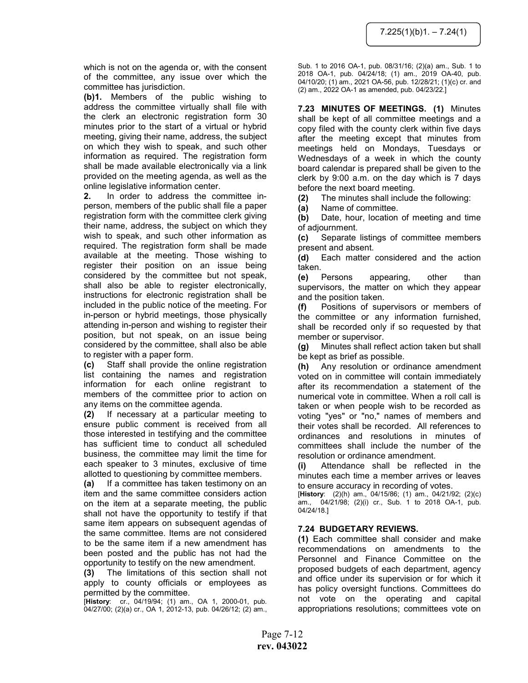which is not on the agenda or, with the consent of the committee, any issue over which the committee has jurisdiction.

(b)1. Members of the public wishing to address the committee virtually shall file with the clerk an electronic registration form 30 minutes prior to the start of a virtual or hybrid meeting, giving their name, address, the subject on which they wish to speak, and such other information as required. The registration form shall be made available electronically via a link provided on the meeting agenda, as well as the online legislative information center.

2. In order to address the committee inperson, members of the public shall file a paper registration form with the committee clerk giving their name, address, the subject on which they wish to speak, and such other information as required. The registration form shall be made available at the meeting. Those wishing to register their position on an issue being considered by the committee but not speak, shall also be able to register electronically, instructions for electronic registration shall be included in the public notice of the meeting. For in-person or hybrid meetings, those physically attending in-person and wishing to register their position, but not speak, on an issue being considered by the committee, shall also be able to register with a paper form.

(c) Staff shall provide the online registration list containing the names and registration information for each online registrant to members of the committee prior to action on any items on the committee agenda.

(2) If necessary at a particular meeting to ensure public comment is received from all those interested in testifying and the committee has sufficient time to conduct all scheduled business, the committee may limit the time for each speaker to 3 minutes, exclusive of time allotted to questioning by committee members.

(a) If a committee has taken testimony on an item and the same committee considers action on the item at a separate meeting, the public shall not have the opportunity to testify if that same item appears on subsequent agendas of the same committee. Items are not considered to be the same item if a new amendment has been posted and the public has not had the opportunity to testify on the new amendment.

(3) The limitations of this section shall not apply to county officials or employees as permitted by the committee.

[History: cr., 04/19/94; (1) am., OA 1, 2000-01, pub. 04/27/00; (2)(a) cr., OA 1, 2012-13, pub. 04/26/12; (2) am., Sub. 1 to 2016 OA-1, pub. 08/31/16; (2)(a) am., Sub. 1 to 2018 OA-1, pub. 04/24/18; (1) am., 2019 OA-40, pub. 04/10/20; (1) am., 2021 OA-56, pub. 12/28/21; (1)(c) cr. and (2) am., 2022 OA-1 as amended, pub. 04/23/22.]

7.23 MINUTES OF MEETINGS. (1) Minutes shall be kept of all committee meetings and a copy filed with the county clerk within five days after the meeting except that minutes from meetings held on Mondays, Tuesdays or Wednesdays of a week in which the county board calendar is prepared shall be given to the clerk by 9:00 a.m. on the day which is 7 days before the next board meeting.

(2) The minutes shall include the following:

(a) Name of committee.

(b) Date, hour, location of meeting and time of adjournment.

(c) Separate listings of committee members present and absent.

(d) Each matter considered and the action taken.

(e) Persons appearing, other than supervisors, the matter on which they appear and the position taken.

(f) Positions of supervisors or members of the committee or any information furnished, shall be recorded only if so requested by that member or supervisor.

(g) Minutes shall reflect action taken but shall be kept as brief as possible.

(h) Any resolution or ordinance amendment voted on in committee will contain immediately after its recommendation a statement of the numerical vote in committee. When a roll call is taken or when people wish to be recorded as voting "yes" or "no," names of members and their votes shall be recorded. All references to ordinances and resolutions in minutes of committees shall include the number of the resolution or ordinance amendment.

(i) Attendance shall be reflected in the minutes each time a member arrives or leaves to ensure accuracy in recording of votes.

[History: (2)(h) am., 04/15/86; (1) am., 04/21/92; (2)(c) am., 04/21/98; (2)(i) cr., Sub. 1 to 2018 OA-1, pub. 04/24/18.]

# 7.24 BUDGETARY REVIEWS.

(1) Each committee shall consider and make recommendations on amendments to the Personnel and Finance Committee on the proposed budgets of each department, agency and office under its supervision or for which it has policy oversight functions. Committees do not vote on the operating and capital appropriations resolutions; committees vote on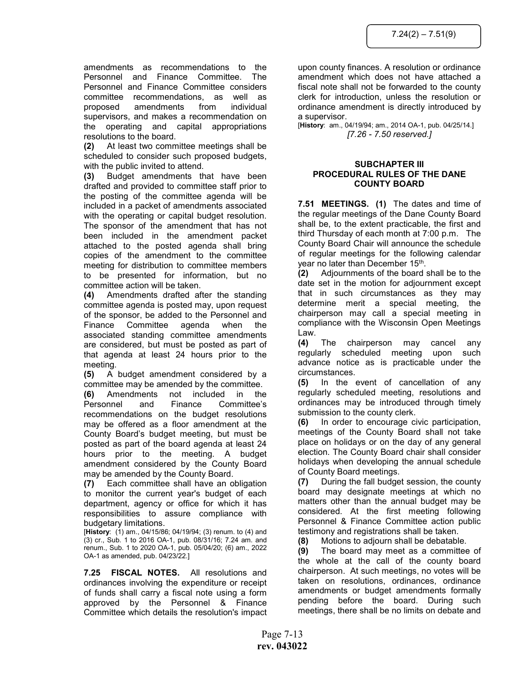amendments as recommendations to the Personnel and Finance Committee. The Personnel and Finance Committee considers committee recommendations, as well as proposed amendments from individual supervisors, and makes a recommendation on the operating and capital appropriations resolutions to the board.

(2) At least two committee meetings shall be scheduled to consider such proposed budgets, with the public invited to attend.

(3) Budget amendments that have been drafted and provided to committee staff prior to the posting of the committee agenda will be included in a packet of amendments associated with the operating or capital budget resolution. The sponsor of the amendment that has not been included in the amendment packet attached to the posted agenda shall bring copies of the amendment to the committee meeting for distribution to committee members to be presented for information, but no committee action will be taken.

(4) Amendments drafted after the standing committee agenda is posted may, upon request of the sponsor, be added to the Personnel and Finance Committee agenda when the associated standing committee amendments are considered, but must be posted as part of that agenda at least 24 hours prior to the meeting.

(5) A budget amendment considered by a committee may be amended by the committee.

(6) Amendments not included in the Personnel and Finance Committee's recommendations on the budget resolutions may be offered as a floor amendment at the County Board's budget meeting, but must be posted as part of the board agenda at least 24 hours prior to the meeting. A budget amendment considered by the County Board may be amended by the County Board.

(7) Each committee shall have an obligation to monitor the current year's budget of each department, agency or office for which it has responsibilities to assure compliance with budgetary limitations.

[History: (1) am., 04/15/86; 04/19/94; (3) renum. to (4) and (3) cr., Sub. 1 to 2016 OA-1, pub. 08/31/16; 7.24 am. and renum., Sub. 1 to 2020 OA-1, pub. 05/04/20; (6) am., 2022 OA-1 as amended, pub. 04/23/22.]

7.25 FISCAL NOTES. All resolutions and ordinances involving the expenditure or receipt of funds shall carry a fiscal note using a form approved by the Personnel & Finance Committee which details the resolution's impact

upon county finances. A resolution or ordinance amendment which does not have attached a fiscal note shall not be forwarded to the county clerk for introduction, unless the resolution or ordinance amendment is directly introduced by a supervisor.

[History: am., 04/19/94; am., 2014 OA-1, pub. 04/25/14.] [7.26 - 7.50 reserved.]

## SUBCHAPTER III PROCEDURAL RULES OF THE DANE COUNTY BOARD

7.51 MEETINGS. (1) The dates and time of the regular meetings of the Dane County Board shall be, to the extent practicable, the first and third Thursday of each month at 7:00 p.m. The County Board Chair will announce the schedule of regular meetings for the following calendar year no later than December 15<sup>th</sup>.

(2) Adjournments of the board shall be to the date set in the motion for adjournment except that in such circumstances as they may determine merit a special meeting, the chairperson may call a special meeting in compliance with the Wisconsin Open Meetings Law.

(4) The chairperson may cancel any regularly scheduled meeting upon such advance notice as is practicable under the circumstances.

(5) In the event of cancellation of any regularly scheduled meeting, resolutions and ordinances may be introduced through timely submission to the county clerk.

(6) In order to encourage civic participation, meetings of the County Board shall not take place on holidays or on the day of any general election. The County Board chair shall consider holidays when developing the annual schedule of County Board meetings.

(7) During the fall budget session, the county board may designate meetings at which no matters other than the annual budget may be considered. At the first meeting following Personnel & Finance Committee action public testimony and registrations shall be taken.

(8) Motions to adjourn shall be debatable.

(9) The board may meet as a committee of the whole at the call of the county board chairperson. At such meetings, no votes will be taken on resolutions, ordinances, ordinance amendments or budget amendments formally pending before the board. During such meetings, there shall be no limits on debate and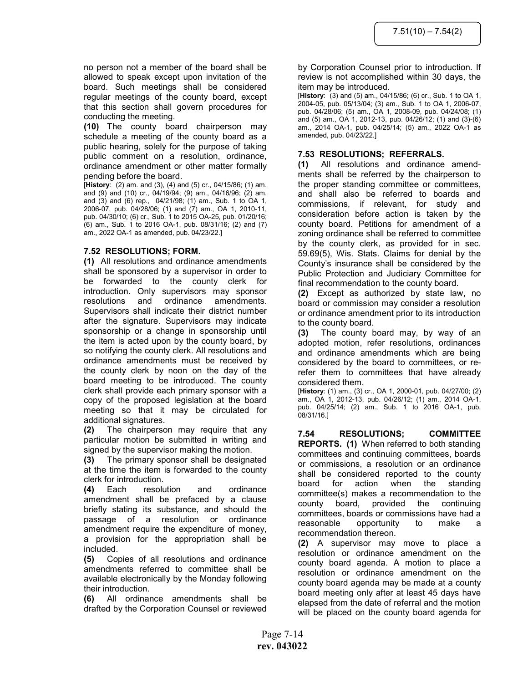no person not a member of the board shall be allowed to speak except upon invitation of the board. Such meetings shall be considered regular meetings of the county board, except that this section shall govern procedures for conducting the meeting.

(10) The county board chairperson may schedule a meeting of the county board as a public hearing, solely for the purpose of taking public comment on a resolution, ordinance, ordinance amendment or other matter formally pending before the board.

[History: (2) am. and (3), (4) and (5) cr., 04/15/86; (1) am. and (9) and (10) cr., 04/19/94; (9) am., 04/16/96; (2) am. and (3) and (6) rep., 04/21/98; (1) am., Sub. 1 to OA 1, 2006-07, pub. 04/28/06; (1) and (7) am., OA 1, 2010-11, pub. 04/30/10; (6) cr., Sub. 1 to 2015 OA-25, pub. 01/20/16; (6) am., Sub. 1 to 2016 OA-1, pub. 08/31/16; (2) and (7) am., 2022 OA-1 as amended, pub. 04/23/22.]

## 7.52 RESOLUTIONS; FORM.

(1) All resolutions and ordinance amendments shall be sponsored by a supervisor in order to be forwarded to the county clerk for introduction. Only supervisors may sponsor resolutions and ordinance amendments. Supervisors shall indicate their district number after the signature. Supervisors may indicate sponsorship or a change in sponsorship until the item is acted upon by the county board, by so notifying the county clerk. All resolutions and ordinance amendments must be received by the county clerk by noon on the day of the board meeting to be introduced. The county clerk shall provide each primary sponsor with a copy of the proposed legislation at the board meeting so that it may be circulated for additional signatures.

(2) The chairperson may require that any particular motion be submitted in writing and signed by the supervisor making the motion.

(3) The primary sponsor shall be designated at the time the item is forwarded to the county clerk for introduction.

(4) Each resolution and ordinance amendment shall be prefaced by a clause briefly stating its substance, and should the passage of a resolution or ordinance amendment require the expenditure of money, a provision for the appropriation shall be included.

(5) Copies of all resolutions and ordinance amendments referred to committee shall be available electronically by the Monday following their introduction.

(6) All ordinance amendments shall be drafted by the Corporation Counsel or reviewed by Corporation Counsel prior to introduction. If review is not accomplished within 30 days, the item may be introduced.

[History: (3) and (5) am., 04/15/86; (6) cr., Sub. 1 to OA 1, 2004-05, pub. 05/13/04; (3) am., Sub. 1 to OA 1, 2006-07, pub. 04/28/06; (5) am., OA 1, 2008-09, pub. 04/24/08; (1) and (5) am., OA 1, 2012-13, pub. 04/26/12; (1) and (3)-(6) am., 2014 OA-1, pub. 04/25/14; (5) am., 2022 OA-1 as amended, pub. 04/23/22.]

# 7.53 RESOLUTIONS; REFERRALS.

(1) All resolutions and ordinance amendments shall be referred by the chairperson to the proper standing committee or committees, and shall also be referred to boards and commissions, if relevant, for study and consideration before action is taken by the county board. Petitions for amendment of a zoning ordinance shall be referred to committee by the county clerk, as provided for in sec. 59.69(5), Wis. Stats. Claims for denial by the County's insurance shall be considered by the Public Protection and Judiciary Committee for final recommendation to the county board.

(2) Except as authorized by state law, no board or commission may consider a resolution or ordinance amendment prior to its introduction to the county board.

(3) The county board may, by way of an adopted motion, refer resolutions, ordinances and ordinance amendments which are being considered by the board to committees, or rerefer them to committees that have already considered them.

[History: (1) am., (3) cr., OA 1, 2000-01, pub. 04/27/00; (2) am., OA 1, 2012-13, pub. 04/26/12; (1) am., 2014 OA-1, pub. 04/25/14; (2) am., Sub. 1 to 2016 OA-1, pub. 08/31/16.]

7.54 RESOLUTIONS; COMMITTEE REPORTS. (1) When referred to both standing committees and continuing committees, boards or commissions, a resolution or an ordinance shall be considered reported to the county board for action when the standing committee(s) makes a recommendation to the county board, provided the continuing committees, boards or commissions have had a reasonable opportunity to make a recommendation thereon.

(2) A supervisor may move to place a resolution or ordinance amendment on the county board agenda. A motion to place a resolution or ordinance amendment on the county board agenda may be made at a county board meeting only after at least 45 days have elapsed from the date of referral and the motion will be placed on the county board agenda for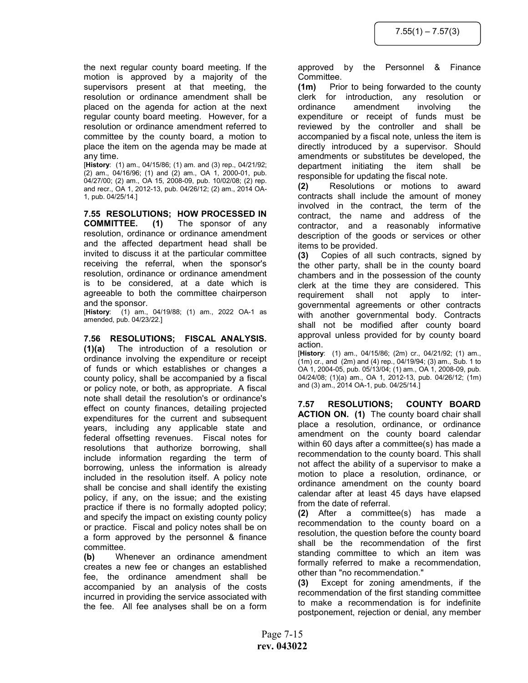the next regular county board meeting. If the motion is approved by a majority of the supervisors present at that meeting, the resolution or ordinance amendment shall be placed on the agenda for action at the next regular county board meeting. However, for a resolution or ordinance amendment referred to committee by the county board, a motion to place the item on the agenda may be made at any time.

[History: (1) am., 04/15/86; (1) am. and (3) rep., 04/21/92; (2) am., 04/16/96; (1) and (2) am., OA 1, 2000-01, pub. 04/27/00; (2) am., OA 15, 2008-09, pub. 10/02/08; (2) rep. and recr., OA 1, 2012-13, pub. 04/26/12; (2) am., 2014 OA-1, pub. 04/25/14.]

7.55 RESOLUTIONS; HOW PROCESSED IN COMMITTEE. (1) The sponsor of any resolution, ordinance or ordinance amendment and the affected department head shall be invited to discuss it at the particular committee receiving the referral, when the sponsor's resolution, ordinance or ordinance amendment is to be considered, at a date which is agreeable to both the committee chairperson and the sponsor.

[History: (1) am., 04/19/88; (1) am., 2022 OA-1 as amended, pub. 04/23/22.]

7.56 RESOLUTIONS; FISCAL ANALYSIS. (1)(a) The introduction of a resolution or ordinance involving the expenditure or receipt of funds or which establishes or changes a county policy, shall be accompanied by a fiscal or policy note, or both, as appropriate. A fiscal note shall detail the resolution's or ordinance's effect on county finances, detailing projected expenditures for the current and subsequent years, including any applicable state and federal offsetting revenues. Fiscal notes for resolutions that authorize borrowing, shall include information regarding the term of borrowing, unless the information is already included in the resolution itself. A policy note shall be concise and shall identify the existing policy, if any, on the issue; and the existing practice if there is no formally adopted policy; and specify the impact on existing county policy or practice. Fiscal and policy notes shall be on a form approved by the personnel & finance committee.

(b) Whenever an ordinance amendment creates a new fee or changes an established fee, the ordinance amendment shall be accompanied by an analysis of the costs incurred in providing the service associated with the fee. All fee analyses shall be on a form

approved by the Personnel & Finance Committee.

(1m) Prior to being forwarded to the county clerk for introduction, any resolution or ordinance amendment involving the expenditure or receipt of funds must be reviewed by the controller and shall be accompanied by a fiscal note, unless the item is directly introduced by a supervisor. Should amendments or substitutes be developed, the department initiating the item shall be responsible for updating the fiscal note.

(2) Resolutions or motions to award contracts shall include the amount of money involved in the contract, the term of the contract, the name and address of the contractor, and a reasonably informative description of the goods or services or other items to be provided.

(3) Copies of all such contracts, signed by the other party, shall be in the county board chambers and in the possession of the county clerk at the time they are considered. This requirement shall not apply to intergovernmental agreements or other contracts with another governmental body. Contracts shall not be modified after county board approval unless provided for by county board action.

[History: (1) am., 04/15/86; (2m) cr., 04/21/92; (1) am., (1m) cr., and (2m) and (4) rep., 04/19/94; (3) am., Sub. 1 to OA 1, 2004-05, pub. 05/13/04; (1) am., OA 1, 2008-09, pub. 04/24/08; (1)(a) am., OA 1, 2012-13, pub. 04/26/12; (1m) and (3) am., 2014 OA-1, pub. 04/25/14.]

7.57 RESOLUTIONS; COUNTY BOARD ACTION ON. (1) The county board chair shall place a resolution, ordinance, or ordinance amendment on the county board calendar within 60 days after a committee(s) has made a recommendation to the county board. This shall not affect the ability of a supervisor to make a motion to place a resolution, ordinance, or ordinance amendment on the county board calendar after at least 45 days have elapsed from the date of referral.

(2) After a committee(s) has made a recommendation to the county board on a resolution, the question before the county board shall be the recommendation of the first standing committee to which an item was formally referred to make a recommendation, other than "no recommendation."

(3) Except for zoning amendments, if the recommendation of the first standing committee to make a recommendation is for indefinite postponement, rejection or denial, any member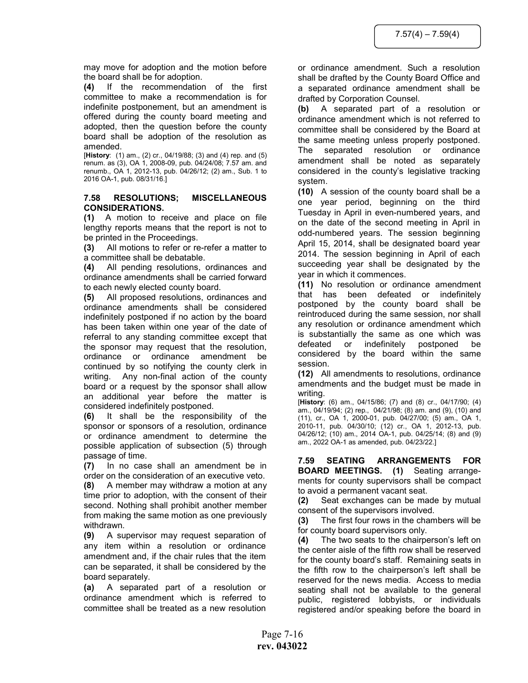may move for adoption and the motion before the board shall be for adoption.

(4) If the recommendation of the first committee to make a recommendation is for indefinite postponement, but an amendment is offered during the county board meeting and adopted, then the question before the county board shall be adoption of the resolution as amended.

[History: (1) am., (2) cr., 04/19/88; (3) and (4) rep. and (5) renum. as (3), OA 1, 2008-09, pub. 04/24/08; 7.57 am. and renumb., OA 1, 2012-13, pub. 04/26/12; (2) am., Sub. 1 to 2016 OA-1, pub. 08/31/16.]

#### 7.58 RESOLUTIONS; MISCELLANEOUS CONSIDERATIONS.

(1) A motion to receive and place on file lengthy reports means that the report is not to be printed in the Proceedings.

(3) All motions to refer or re-refer a matter to a committee shall be debatable.

(4) All pending resolutions, ordinances and ordinance amendments shall be carried forward to each newly elected county board.

(5) All proposed resolutions, ordinances and ordinance amendments shall be considered indefinitely postponed if no action by the board has been taken within one year of the date of referral to any standing committee except that the sponsor may request that the resolution, ordinance or ordinance amendment be continued by so notifying the county clerk in writing. Any non-final action of the county board or a request by the sponsor shall allow an additional year before the matter is considered indefinitely postponed.

(6) It shall be the responsibility of the sponsor or sponsors of a resolution, ordinance or ordinance amendment to determine the possible application of subsection (5) through passage of time.

(7) In no case shall an amendment be in order on the consideration of an executive veto. (8) A member may withdraw a motion at any time prior to adoption, with the consent of their second. Nothing shall prohibit another member from making the same motion as one previously withdrawn.

(9) A supervisor may request separation of any item within a resolution or ordinance amendment and, if the chair rules that the item can be separated, it shall be considered by the board separately.

(a) A separated part of a resolution or ordinance amendment which is referred to committee shall be treated as a new resolution

or ordinance amendment. Such a resolution shall be drafted by the County Board Office and a separated ordinance amendment shall be drafted by Corporation Counsel.

(b) A separated part of a resolution or ordinance amendment which is not referred to committee shall be considered by the Board at the same meeting unless properly postponed. The separated resolution or ordinance amendment shall be noted as separately considered in the county's legislative tracking system.

(10) A session of the county board shall be a one year period, beginning on the third Tuesday in April in even-numbered years, and on the date of the second meeting in April in odd-numbered years. The session beginning April 15, 2014, shall be designated board year 2014. The session beginning in April of each succeeding year shall be designated by the year in which it commences.

(11) No resolution or ordinance amendment that has been defeated or indefinitely postponed by the county board shall be reintroduced during the same session, nor shall any resolution or ordinance amendment which is substantially the same as one which was defeated or indefinitely postponed be considered by the board within the same session.

(12) All amendments to resolutions, ordinance amendments and the budget must be made in writing.

[History: (6) am., 04/15/86; (7) and (8) cr., 04/17/90; (4) am., 04/19/94; (2) rep., 04/21/98; (8) am. and (9), (10) and (11), cr., OA 1, 2000-01, pub. 04/27/00; (5) am., OA 1, 2010-11, pub. 04/30/10; (12) cr., OA 1, 2012-13, pub. 04/26/12; (10) am., 2014 OA-1, pub. 04/25/14; (8) and (9) am., 2022 OA-1 as amended, pub. 04/23/22.]

7.59 SEATING ARRANGEMENTS FOR BOARD MEETINGS. (1) Seating arrangements for county supervisors shall be compact to avoid a permanent vacant seat.

(2) Seat exchanges can be made by mutual consent of the supervisors involved.

(3) The first four rows in the chambers will be for county board supervisors only.

(4) The two seats to the chairperson's left on the center aisle of the fifth row shall be reserved for the county board's staff. Remaining seats in the fifth row to the chairperson's left shall be reserved for the news media. Access to media seating shall not be available to the general public, registered lobbyists, or individuals registered and/or speaking before the board in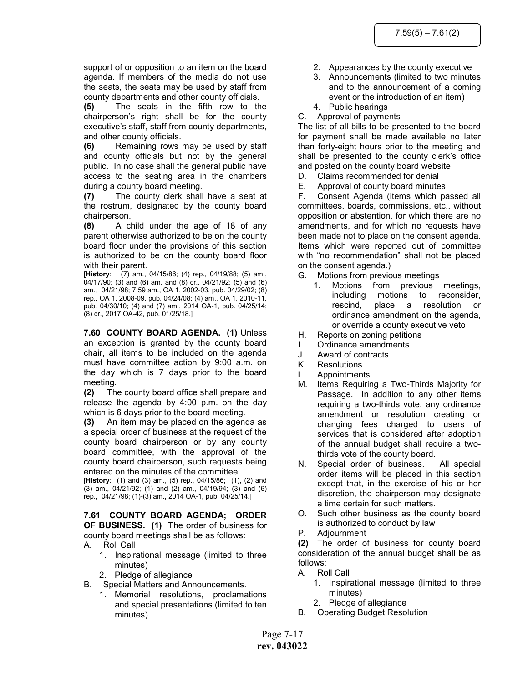support of or opposition to an item on the board agenda. If members of the media do not use the seats, the seats may be used by staff from county departments and other county officials.

(5) The seats in the fifth row to the chairperson's right shall be for the county executive's staff, staff from county departments, and other county officials.

(6) Remaining rows may be used by staff and county officials but not by the general public. In no case shall the general public have access to the seating area in the chambers during a county board meeting.

(7) The county clerk shall have a seat at the rostrum, designated by the county board chairperson.

(8) A child under the age of 18 of any parent otherwise authorized to be on the county board floor under the provisions of this section is authorized to be on the county board floor with their parent.

[History: (7) am., 04/15/86; (4) rep., 04/19/88; (5) am., 04/17/90; (3) and (6) am. and (8) cr., 04/21/92; (5) and (6) am., 04/21/98; 7.59 am., OA 1, 2002-03, pub. 04/29/02; (8) rep., OA 1, 2008-09, pub. 04/24/08; (4) am., OA 1, 2010-11, pub. 04/30/10; (4) and (7) am., 2014 OA-1, pub. 04/25/14; (8) cr., 2017 OA-42, pub. 01/25/18.]

7.60 COUNTY BOARD AGENDA. (1) Unless an exception is granted by the county board chair, all items to be included on the agenda must have committee action by 9:00 a.m. on the day which is 7 days prior to the board meeting.

(2) The county board office shall prepare and release the agenda by 4:00 p.m. on the day which is 6 days prior to the board meeting.

(3) An item may be placed on the agenda as a special order of business at the request of the county board chairperson or by any county board committee, with the approval of the county board chairperson, such requests being entered on the minutes of the committee.

[History: (1) and (3) am., (5) rep., 04/15/86; (1), (2) and (3) am., 04/21/92; (1) and (2) am., 04/19/94; (3) and (6) rep., 04/21/98; (1)-(3) am., 2014 OA-1, pub. 04/25/14.]

7.61 COUNTY BOARD AGENDA; ORDER OF BUSINESS. (1) The order of business for county board meetings shall be as follows:

- A. Roll Call
	- 1. Inspirational message (limited to three minutes)
	- 2. Pledge of allegiance
- B. Special Matters and Announcements.
	- 1. Memorial resolutions, proclamations and special presentations (limited to ten minutes)
- 2. Appearances by the county executive
- 3. Announcements (limited to two minutes and to the announcement of a coming event or the introduction of an item)
- 4. Public hearings
- C. Approval of payments

The list of all bills to be presented to the board for payment shall be made available no later than forty-eight hours prior to the meeting and shall be presented to the county clerk's office and posted on the county board website

- D. Claims recommended for denial
- E. Approval of county board minutes

F. Consent Agenda (items which passed all committees, boards, commissions, etc., without opposition or abstention, for which there are no amendments, and for which no requests have been made not to place on the consent agenda. Items which were reported out of committee with "no recommendation" shall not be placed on the consent agenda.)

- G. Motions from previous meetings
	- 1. Motions from previous meetings, including motions to reconsider, rescind, place a resolution or ordinance amendment on the agenda, or override a county executive veto
- H. Reports on zoning petitions
- I. Ordinance amendments
- J. Award of contracts
- K. Resolutions
- L. Appointments
- M. Items Requiring a Two-Thirds Majority for Passage. In addition to any other items requiring a two-thirds vote, any ordinance amendment or resolution creating or changing fees charged to users of services that is considered after adoption of the annual budget shall require a twothirds vote of the county board.
- N. Special order of business. All special order items will be placed in this section except that, in the exercise of his or her discretion, the chairperson may designate a time certain for such matters.
- O. Such other business as the county board is authorized to conduct by law
- P. Adjournment

(2) The order of business for county board consideration of the annual budget shall be as follows:

- A. Roll Call
	- 1. Inspirational message (limited to three minutes)
	- 2. Pledge of allegiance
- B. Operating Budget Resolution

Page 7-17 rev. 043022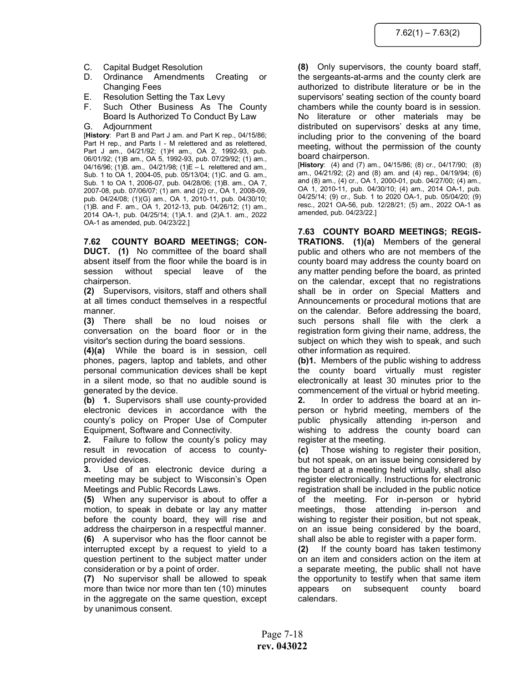- C. Capital Budget Resolution
- D. Ordinance Amendments Creating or Changing Fees
- E. Resolution Setting the Tax Levy
- F. Such Other Business As The County Board Is Authorized To Conduct By Law

G. Adjournment

[History: Part B and Part J am. and Part K rep., 04/15/86; Part H rep., and Parts I - M relettered and as relettered, Part J am., 04/21/92; (1)H am., OA 2, 1992-93, pub. 06/01/92; (1)B am., OA 5, 1992-93, pub. 07/29/92; (1) am., 04/16/96; (1)B. am., 04/21/98; (1)E – L relettered and am., Sub. 1 to OA 1, 2004-05, pub. 05/13/04; (1)C. and G. am., Sub. 1 to OA 1, 2006-07, pub. 04/28/06; (1)B. am., OA 7, 2007-08, pub. 07/06/07; (1) am. and (2) cr., OA 1, 2008-09, pub. 04/24/08; (1)(G) am., OA 1, 2010-11, pub. 04/30/10; (1)B. and F. am., OA 1, 2012-13, pub. 04/26/12; (1) am., 2014 OA-1, pub. 04/25/14; (1)A.1. and (2)A.1. am., 2022 OA-1 as amended, pub. 04/23/22.]

7.62 COUNTY BOARD MEETINGS; CON-DUCT. (1) No committee of the board shall absent itself from the floor while the board is in session without special leave of the chairperson.

(2) Supervisors, visitors, staff and others shall at all times conduct themselves in a respectful manner.

(3) There shall be no loud noises or conversation on the board floor or in the visitor's section during the board sessions.

(4)(a) While the board is in session, cell phones, pagers, laptop and tablets, and other personal communication devices shall be kept in a silent mode, so that no audible sound is generated by the device.

(b) 1. Supervisors shall use county-provided electronic devices in accordance with the county's policy on Proper Use of Computer Equipment, Software and Connectivity.

2. Failure to follow the county's policy may result in revocation of access to countyprovided devices.

3. Use of an electronic device during a meeting may be subject to Wisconsin's Open Meetings and Public Records Laws.

(5) When any supervisor is about to offer a motion, to speak in debate or lay any matter before the county board, they will rise and address the chairperson in a respectful manner.

(6) A supervisor who has the floor cannot be interrupted except by a request to yield to a question pertinent to the subject matter under consideration or by a point of order.

(7) No supervisor shall be allowed to speak more than twice nor more than ten (10) minutes in the aggregate on the same question, except by unanimous consent.

(8) Only supervisors, the county board staff, the sergeants-at-arms and the county clerk are authorized to distribute literature or be in the supervisors' seating section of the county board chambers while the county board is in session. No literature or other materials may be distributed on supervisors' desks at any time, including prior to the convening of the board meeting, without the permission of the county board chairperson.

[History: (4) and (7) am., 04/15/86; (8) cr., 04/17/90; (8) am., 04/21/92; (2) and (8) am. and (4) rep., 04/19/94; (6) and (8) am., (4) cr., OA 1, 2000-01, pub. 04/27/00; (4) am., OA 1, 2010-11, pub. 04/30/10; (4) am., 2014 OA-1, pub. 04/25/14; (9) cr., Sub. 1 to 2020 OA-1, pub. 05/04/20; (9) resc., 2021 OA-56, pub. 12/28/21; (5) am., 2022 OA-1 as amended, pub. 04/23/22.]

7.63 COUNTY BOARD MEETINGS; REGIS-TRATIONS. (1)(a) Members of the general public and others who are not members of the county board may address the county board on any matter pending before the board, as printed on the calendar, except that no registrations shall be in order on Special Matters and Announcements or procedural motions that are on the calendar. Before addressing the board, such persons shall file with the clerk a registration form giving their name, address, the subject on which they wish to speak, and such other information as required.

(b)1. Members of the public wishing to address the county board virtually must register electronically at least 30 minutes prior to the commencement of the virtual or hybrid meeting.

2. In order to address the board at an inperson or hybrid meeting, members of the public physically attending in-person and wishing to address the county board can register at the meeting.

(c) Those wishing to register their position, but not speak, on an issue being considered by the board at a meeting held virtually, shall also register electronically. Instructions for electronic registration shall be included in the public notice of the meeting. For in-person or hybrid meetings, those attending in-person and wishing to register their position, but not speak, on an issue being considered by the board, shall also be able to register with a paper form.

(2) If the county board has taken testimony on an item and considers action on the item at a separate meeting, the public shall not have the opportunity to testify when that same item appears on subsequent county board calendars.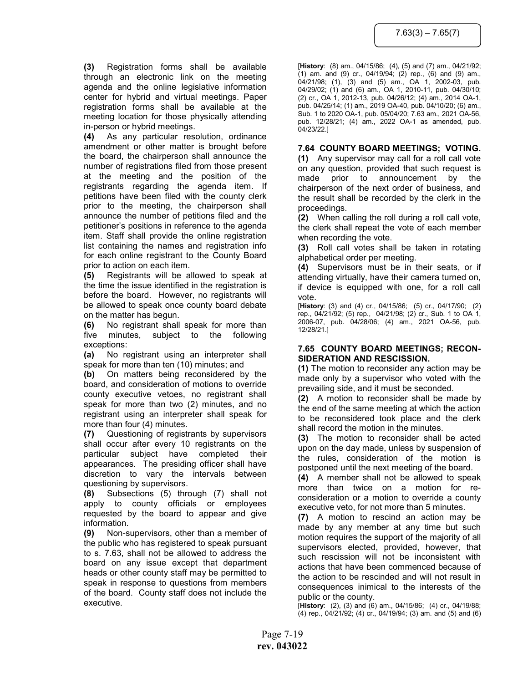(3) Registration forms shall be available through an electronic link on the meeting agenda and the online legislative information center for hybrid and virtual meetings. Paper registration forms shall be available at the meeting location for those physically attending in-person or hybrid meetings.

(4) As any particular resolution, ordinance amendment or other matter is brought before the board, the chairperson shall announce the number of registrations filed from those present at the meeting and the position of the registrants regarding the agenda item. If petitions have been filed with the county clerk prior to the meeting, the chairperson shall announce the number of petitions filed and the petitioner's positions in reference to the agenda item. Staff shall provide the online registration list containing the names and registration info for each online registrant to the County Board prior to action on each item.

(5) Registrants will be allowed to speak at the time the issue identified in the registration is before the board. However, no registrants will be allowed to speak once county board debate on the matter has begun.

(6) No registrant shall speak for more than five minutes, subject to the following exceptions:

(a) No registrant using an interpreter shall speak for more than ten (10) minutes; and

(b) On matters being reconsidered by the board, and consideration of motions to override county executive vetoes, no registrant shall speak for more than two (2) minutes, and no registrant using an interpreter shall speak for more than four (4) minutes.

(7) Questioning of registrants by supervisors shall occur after every 10 registrants on the particular subject have completed their appearances. The presiding officer shall have discretion to vary the intervals between questioning by supervisors.

(8) Subsections (5) through (7) shall not apply to county officials or employees requested by the board to appear and give information.

(9) Non-supervisors, other than a member of the public who has registered to speak pursuant to s. 7.63, shall not be allowed to address the board on any issue except that department heads or other county staff may be permitted to speak in response to questions from members of the board. County staff does not include the executive.

[History: (8) am., 04/15/86; (4), (5) and (7) am., 04/21/92; (1) am. and (9) cr., 04/19/94; (2) rep., (6) and (9) am., 04/21/98; (1), (3) and (5) am., OA 1, 2002-03, pub. 04/29/02; (1) and (6) am., OA 1, 2010-11, pub. 04/30/10; (2) cr., OA 1, 2012-13, pub. 04/26/12; (4) am., 2014 OA-1, pub. 04/25/14; (1) am., 2019 OA-40, pub. 04/10/20; (6) am., Sub. 1 to 2020 OA-1, pub. 05/04/20; 7.63 am., 2021 OA-56, pub. 12/28/21; (4) am., 2022 OA-1 as amended, pub. 04/23/22.]

## 7.64 COUNTY BOARD MEETINGS; VOTING.

(1) Any supervisor may call for a roll call vote on any question, provided that such request is made prior to announcement by the chairperson of the next order of business, and the result shall be recorded by the clerk in the proceedings.

(2) When calling the roll during a roll call vote, the clerk shall repeat the vote of each member when recording the vote.

(3) Roll call votes shall be taken in rotating alphabetical order per meeting.

(4) Supervisors must be in their seats, or if attending virtually, have their camera turned on, if device is equipped with one, for a roll call vote.

[History: (3) and (4) cr., 04/15/86; (5) cr., 04/17/90; (2) rep., 04/21/92; (5) rep., 04/21/98; (2) cr., Sub. 1 to OA 1, 2006-07, pub. 04/28/06; (4) am., 2021 OA-56, pub. 12/28/21.]

## 7.65 COUNTY BOARD MEETINGS; RECON-SIDERATION AND RESCISSION.

(1) The motion to reconsider any action may be made only by a supervisor who voted with the prevailing side, and it must be seconded.

(2) A motion to reconsider shall be made by the end of the same meeting at which the action to be reconsidered took place and the clerk shall record the motion in the minutes.

(3) The motion to reconsider shall be acted upon on the day made, unless by suspension of the rules, consideration of the motion is postponed until the next meeting of the board.

(4) A member shall not be allowed to speak more than twice on a motion for reconsideration or a motion to override a county executive veto, for not more than 5 minutes.

(7) A motion to rescind an action may be made by any member at any time but such motion requires the support of the majority of all supervisors elected, provided, however, that such rescission will not be inconsistent with actions that have been commenced because of the action to be rescinded and will not result in consequences inimical to the interests of the public or the county.

[History: (2), (3) and (6) am., 04/15/86; (4) cr., 04/19/88; (4) rep., 04/21/92; (4) cr., 04/19/94; (3) am. and (5) and (6)